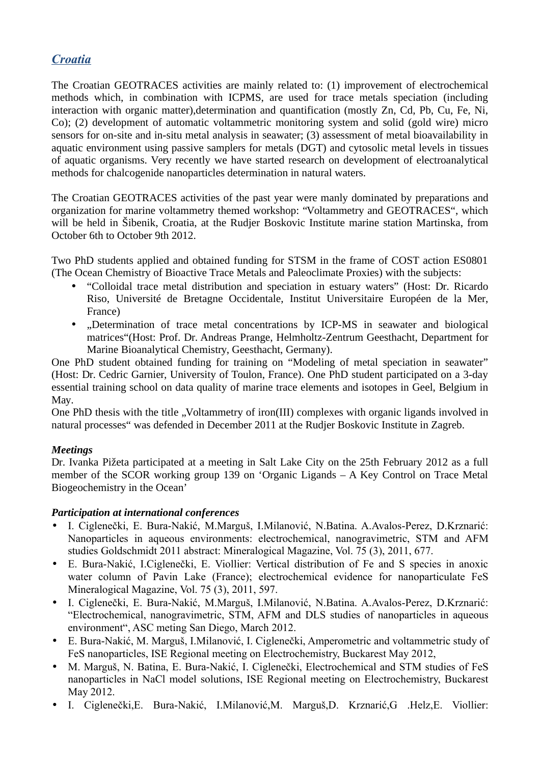## *Croatia*

The Croatian GEOTRACES activities are mainly related to: (1) improvement of electrochemical methods which, in combination with ICPMS, are used for trace metals speciation (including interaction with organic matter),determination and quantification (mostly Zn, Cd, Pb, Cu, Fe, Ni, Co); (2) development of automatic voltammetric monitoring system and solid (gold wire) micro sensors for on-site and in-situ metal analysis in seawater; (3) assessment of metal bioavailability in aquatic environment using passive samplers for metals (DGT) and cytosolic metal levels in tissues of aquatic organisms. Very recently we have started research on development of electroanalytical methods for chalcogenide nanoparticles determination in natural waters.

The Croatian GEOTRACES activities of the past year were manly dominated by preparations and organization for marine voltammetry themed workshop: "Voltammetry and GEOTRACES", which will be held in Šibenik, Croatia, at the Rudjer Boskovic Institute marine station Martinska, from October 6th to October 9th 2012.

Two PhD students applied and obtained funding for STSM in the frame of COST action ES0801 (The Ocean Chemistry of Bioactive Trace Metals and Paleoclimate Proxies) with the subjects:

- "Colloidal trace metal distribution and speciation in estuary waters" (Host: Dr. Ricardo Riso, Université de Bretagne Occidentale, Institut Universitaire Européen de la Mer, France)
- "Determination of trace metal concentrations by ICP-MS in seawater and biological matrices"(Host: Prof. Dr. Andreas Prange, Helmholtz-Zentrum Geesthacht, Department for Marine Bioanalytical Chemistry, Geesthacht, Germany).

One PhD student obtained funding for training on "Modeling of metal speciation in seawater" (Host: Dr. Cedric Garnier, University of Toulon, France). One PhD student participated on a 3-day essential training school on data quality of marine trace elements and isotopes in Geel, Belgium in May.

One PhD thesis with the title ..Voltammetry of iron(III) complexes with organic ligands involved in natural processes" was defended in December 2011 at the Rudjer Boskovic Institute in Zagreb.

## *Meetings*

Dr. Ivanka Pižeta participated at a meeting in Salt Lake City on the 25th February 2012 as a full member of the SCOR working group 139 on 'Organic Ligands – A Key Control on Trace Metal Biogeochemistry in the Ocean'

## *Participation at international conferences*

- I. Ciglenečki, E. Bura-Nakić, M.Marguš, I.Milanović, N.Batina. A.Avalos-Perez, D.Krznarić: Nanoparticles in aqueous environments: electrochemical, nanogravimetric, STM and AFM studies Goldschmidt 2011 abstract: Mineralogical Magazine, Vol. 75 (3), 2011, 677.
- E. Bura-Nakić, I.Ciglenečki, E. Viollier: Vertical distribution of Fe and S species in anoxic water column of Pavin Lake (France); electrochemical evidence for nanoparticulate FeS Mineralogical Magazine, Vol. 75 (3), 2011, 597.
- I. Ciglenečki, E. Bura-Nakić, M.Marguš, I.Milanović, N.Batina. A.Avalos-Perez, D.Krznarić: "Electrochemical, nanogravimetric, STM, AFM and DLS studies of nanoparticles in aqueous environment", ASC meting San Diego, March 2012.
- E. Bura-Nakić, M. Marguš, I.Milanović, I. Ciglenečki, Amperometric and voltammetric study of FeS nanoparticles, ISE Regional meeting on Electrochemistry, Buckarest May 2012,
- M. Marguš, N. Batina, E. Bura-Nakić, I. Ciglenečki, Electrochemical and STM studies of FeS nanoparticles in NaCl model solutions, ISE Regional meeting on Electrochemistry, Buckarest May 2012.
- I. Ciglenečki,E. Bura-Nakić, I.Milanović,M. Marguš,D. Krznarić,G .Helz,E. Viollier: